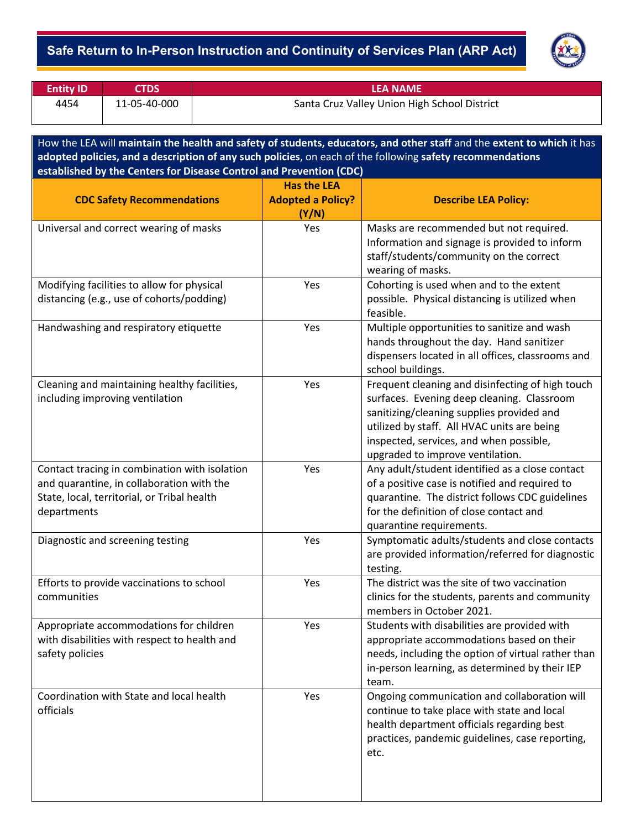## - **Safe Return to In-Person Instruction and Continuity of Services Plan (ARP Act)**



| <b>Entity ID</b> | <b>CTDS</b>  | <b>LEA NAME</b>                              |
|------------------|--------------|----------------------------------------------|
| 4454             | 11-05-40-000 | Santa Cruz Valley Union High School District |

How the LEA will **maintain the health and safety of students, educators, and other staff** and the **extent to which** it has **adopted policies, and a description of any such policies**, on each of the following **safety recommendations established by the Centers for Disease Control and Prevention (CDC)**

| <b>CDC Safety Recommendations</b>                                                                                                                        | <b>Has the LEA</b><br><b>Adopted a Policy?</b><br>(Y/N) | <b>Describe LEA Policy:</b>                                                                                                                                                                                                                                               |
|----------------------------------------------------------------------------------------------------------------------------------------------------------|---------------------------------------------------------|---------------------------------------------------------------------------------------------------------------------------------------------------------------------------------------------------------------------------------------------------------------------------|
| Universal and correct wearing of masks                                                                                                                   | Yes                                                     | Masks are recommended but not required.<br>Information and signage is provided to inform<br>staff/students/community on the correct<br>wearing of masks.                                                                                                                  |
| Modifying facilities to allow for physical<br>distancing (e.g., use of cohorts/podding)                                                                  | Yes                                                     | Cohorting is used when and to the extent<br>possible. Physical distancing is utilized when<br>feasible.                                                                                                                                                                   |
| Handwashing and respiratory etiquette                                                                                                                    | Yes                                                     | Multiple opportunities to sanitize and wash<br>hands throughout the day. Hand sanitizer<br>dispensers located in all offices, classrooms and<br>school buildings.                                                                                                         |
| Cleaning and maintaining healthy facilities,<br>including improving ventilation                                                                          | Yes                                                     | Frequent cleaning and disinfecting of high touch<br>surfaces. Evening deep cleaning. Classroom<br>sanitizing/cleaning supplies provided and<br>utilized by staff. All HVAC units are being<br>inspected, services, and when possible,<br>upgraded to improve ventilation. |
| Contact tracing in combination with isolation<br>and quarantine, in collaboration with the<br>State, local, territorial, or Tribal health<br>departments | Yes                                                     | Any adult/student identified as a close contact<br>of a positive case is notified and required to<br>quarantine. The district follows CDC guidelines<br>for the definition of close contact and<br>quarantine requirements.                                               |
| Diagnostic and screening testing                                                                                                                         | Yes                                                     | Symptomatic adults/students and close contacts<br>are provided information/referred for diagnostic<br>testing.                                                                                                                                                            |
| Efforts to provide vaccinations to school<br>communities                                                                                                 | Yes                                                     | The district was the site of two vaccination<br>clinics for the students, parents and community<br>members in October 2021.                                                                                                                                               |
| Appropriate accommodations for children<br>with disabilities with respect to health and<br>safety policies                                               | Yes                                                     | Students with disabilities are provided with<br>appropriate accommodations based on their<br>needs, including the option of virtual rather than<br>in-person learning, as determined by their IEP<br>team.                                                                |
| Coordination with State and local health<br>officials                                                                                                    | Yes                                                     | Ongoing communication and collaboration will<br>continue to take place with state and local<br>health department officials regarding best<br>practices, pandemic guidelines, case reporting,<br>etc.                                                                      |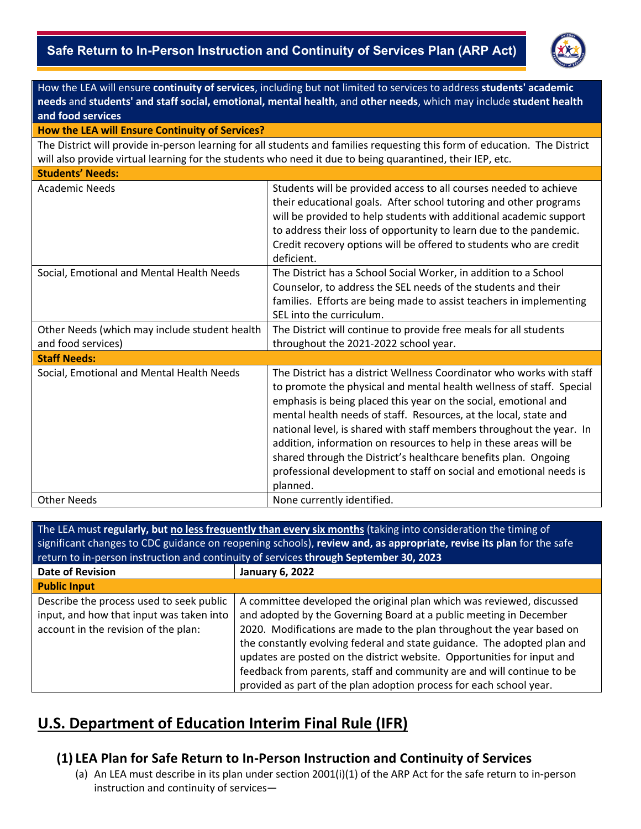## - **Safe Return to In-Person Instruction and Continuity of Services Plan (ARP Act)**



| How the LEA will ensure continuity of services, including but not limited to services to address students' academic        |                                                                                                                                                                                                                                                                                                                                                                                                                                                                                                                                                                                        |  |  |  |
|----------------------------------------------------------------------------------------------------------------------------|----------------------------------------------------------------------------------------------------------------------------------------------------------------------------------------------------------------------------------------------------------------------------------------------------------------------------------------------------------------------------------------------------------------------------------------------------------------------------------------------------------------------------------------------------------------------------------------|--|--|--|
| needs and students' and staff social, emotional, mental health, and other needs, which may include student health          |                                                                                                                                                                                                                                                                                                                                                                                                                                                                                                                                                                                        |  |  |  |
| and food services                                                                                                          |                                                                                                                                                                                                                                                                                                                                                                                                                                                                                                                                                                                        |  |  |  |
| How the LEA will Ensure Continuity of Services?                                                                            |                                                                                                                                                                                                                                                                                                                                                                                                                                                                                                                                                                                        |  |  |  |
| The District will provide in-person learning for all students and families requesting this form of education. The District |                                                                                                                                                                                                                                                                                                                                                                                                                                                                                                                                                                                        |  |  |  |
| will also provide virtual learning for the students who need it due to being quarantined, their IEP, etc.                  |                                                                                                                                                                                                                                                                                                                                                                                                                                                                                                                                                                                        |  |  |  |
| <b>Students' Needs:</b>                                                                                                    |                                                                                                                                                                                                                                                                                                                                                                                                                                                                                                                                                                                        |  |  |  |
| <b>Academic Needs</b>                                                                                                      | Students will be provided access to all courses needed to achieve<br>their educational goals. After school tutoring and other programs<br>will be provided to help students with additional academic support<br>to address their loss of opportunity to learn due to the pandemic.<br>Credit recovery options will be offered to students who are credit<br>deficient.                                                                                                                                                                                                                 |  |  |  |
| Social, Emotional and Mental Health Needs                                                                                  | The District has a School Social Worker, in addition to a School<br>Counselor, to address the SEL needs of the students and their<br>families. Efforts are being made to assist teachers in implementing<br>SEL into the curriculum.                                                                                                                                                                                                                                                                                                                                                   |  |  |  |
| Other Needs (which may include student health<br>and food services)                                                        | The District will continue to provide free meals for all students<br>throughout the 2021-2022 school year.                                                                                                                                                                                                                                                                                                                                                                                                                                                                             |  |  |  |
| <b>Staff Needs:</b>                                                                                                        |                                                                                                                                                                                                                                                                                                                                                                                                                                                                                                                                                                                        |  |  |  |
| Social, Emotional and Mental Health Needs                                                                                  | The District has a district Wellness Coordinator who works with staff<br>to promote the physical and mental health wellness of staff. Special<br>emphasis is being placed this year on the social, emotional and<br>mental health needs of staff. Resources, at the local, state and<br>national level, is shared with staff members throughout the year. In<br>addition, information on resources to help in these areas will be<br>shared through the District's healthcare benefits plan. Ongoing<br>professional development to staff on social and emotional needs is<br>planned. |  |  |  |
| <b>Other Needs</b>                                                                                                         | None currently identified.                                                                                                                                                                                                                                                                                                                                                                                                                                                                                                                                                             |  |  |  |
|                                                                                                                            |                                                                                                                                                                                                                                                                                                                                                                                                                                                                                                                                                                                        |  |  |  |

| The LEA must regularly, but no less frequently than every six months (taking into consideration the timing of       |                                                                          |  |  |  |  |
|---------------------------------------------------------------------------------------------------------------------|--------------------------------------------------------------------------|--|--|--|--|
| significant changes to CDC guidance on reopening schools), review and, as appropriate, revise its plan for the safe |                                                                          |  |  |  |  |
| return to in-person instruction and continuity of services through September 30, 2023                               |                                                                          |  |  |  |  |
| <b>Date of Revision</b>                                                                                             | <b>January 6, 2022</b>                                                   |  |  |  |  |
| <b>Public Input</b>                                                                                                 |                                                                          |  |  |  |  |
| Describe the process used to seek public                                                                            | A committee developed the original plan which was reviewed, discussed    |  |  |  |  |
| input, and how that input was taken into                                                                            | and adopted by the Governing Board at a public meeting in December       |  |  |  |  |
| account in the revision of the plan:                                                                                | 2020. Modifications are made to the plan throughout the year based on    |  |  |  |  |
|                                                                                                                     | the constantly evolving federal and state guidance. The adopted plan and |  |  |  |  |
|                                                                                                                     | updates are posted on the district website. Opportunities for input and  |  |  |  |  |
|                                                                                                                     | feedback from parents, staff and community are and will continue to be   |  |  |  |  |
|                                                                                                                     | provided as part of the plan adoption process for each school year.      |  |  |  |  |

# **U.S. Department of Education Interim Final Rule (IFR)**

# **(1) LEA Plan for Safe Return to In-Person Instruction and Continuity of Services**

(a) An LEA must describe in its plan under section 2001(i)(1) of the ARP Act for the safe return to in-person instruction and continuity of services—